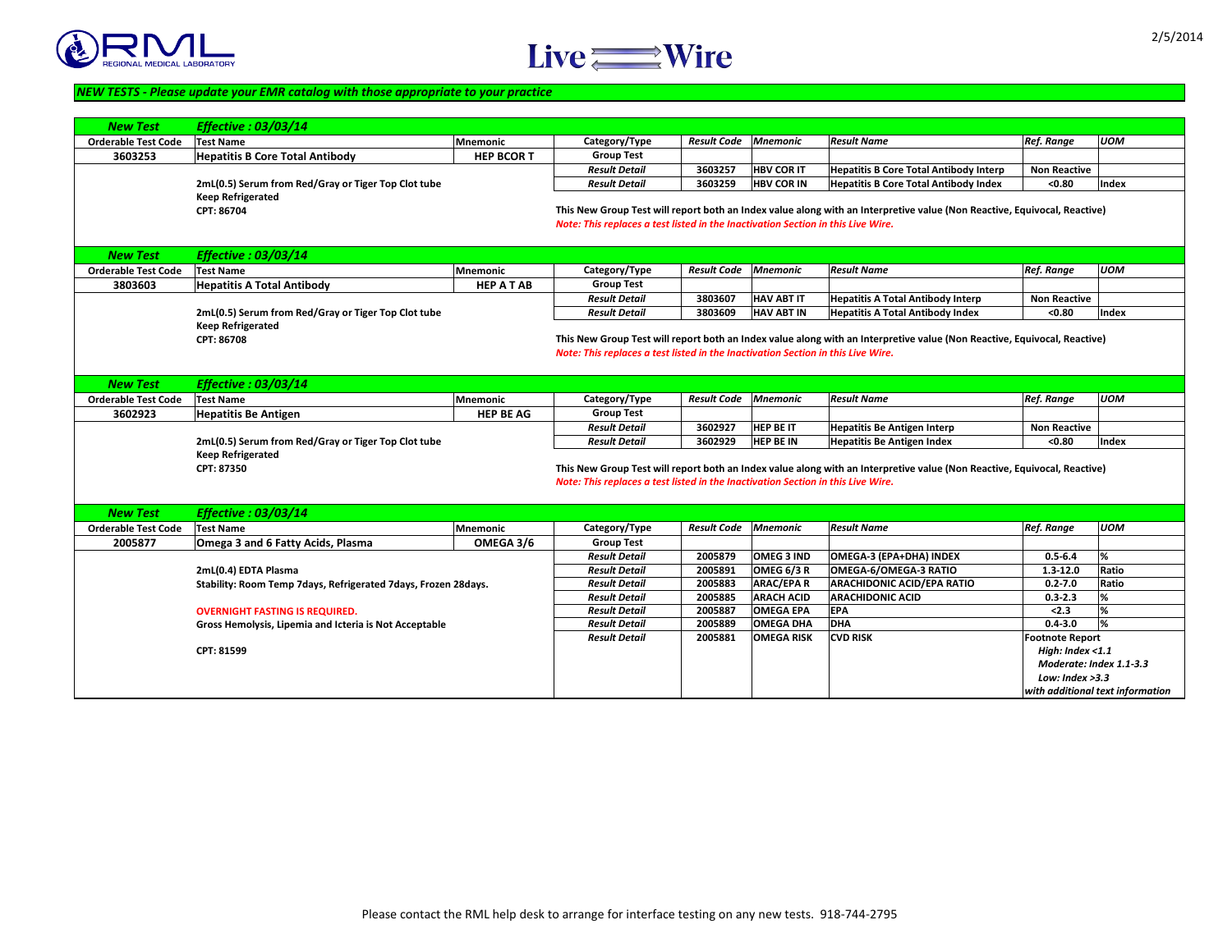2/5/2014



| <b>New Test</b>            | <b>Effective : 03/03/14</b>                                    |                   |                                                                                  |                    |                   |                                                                                                                          |                         |              |
|----------------------------|----------------------------------------------------------------|-------------------|----------------------------------------------------------------------------------|--------------------|-------------------|--------------------------------------------------------------------------------------------------------------------------|-------------------------|--------------|
| <b>Orderable Test Code</b> | <b>Test Name</b>                                               | Mnemonic          | Category/Type                                                                    | <b>Result Code</b> | Mnemonic          | <b>Result Name</b>                                                                                                       | <b>Ref. Range</b>       | <b>UOM</b>   |
| 3603253                    | <b>Hepatitis B Core Total Antibody</b>                         | <b>HEP BCORT</b>  | <b>Group Test</b>                                                                |                    |                   |                                                                                                                          |                         |              |
|                            |                                                                |                   | <b>Result Detail</b>                                                             | 3603257            | <b>HBV COR IT</b> | <b>Hepatitis B Core Total Antibody Interp</b>                                                                            | <b>Non Reactive</b>     |              |
|                            | 2mL(0.5) Serum from Red/Gray or Tiger Top Clot tube            |                   | <b>Result Detail</b>                                                             | 3603259            | <b>HBV COR IN</b> | <b>Hepatitis B Core Total Antibody Index</b>                                                                             | < 0.80                  | <b>Index</b> |
|                            | <b>Keep Refrigerated</b>                                       |                   |                                                                                  |                    |                   |                                                                                                                          |                         |              |
|                            | <b>CPT: 86704</b>                                              |                   |                                                                                  |                    |                   | This New Group Test will report both an Index value along with an Interpretive value (Non Reactive, Equivocal, Reactive) |                         |              |
|                            |                                                                |                   | Note: This replaces a test listed in the Inactivation Section in this Live Wire. |                    |                   |                                                                                                                          |                         |              |
| <b>New Test</b>            | <b>Effective : 03/03/14</b>                                    |                   |                                                                                  |                    |                   |                                                                                                                          |                         |              |
| <b>Orderable Test Code</b> | <b>Test Name</b>                                               | <b>Mnemonic</b>   | Category/Type                                                                    | <b>Result Code</b> | <b>Mnemonic</b>   | <b>Result Name</b>                                                                                                       | <b>Ref. Range</b>       | <b>UOM</b>   |
| 3803603                    | <b>Hepatitis A Total Antibody</b>                              | <b>HEP A T AB</b> | <b>Group Test</b>                                                                |                    |                   |                                                                                                                          |                         |              |
|                            |                                                                |                   | <b>Result Detail</b>                                                             | 3803607            | <b>HAV ABT IT</b> | <b>Hepatitis A Total Antibody Interp</b>                                                                                 | <b>Non Reactive</b>     |              |
|                            | 2mL(0.5) Serum from Red/Gray or Tiger Top Clot tube            |                   | <b>Result Detail</b>                                                             | 3803609            | <b>HAV ABT IN</b> | <b>Hepatitis A Total Antibody Index</b>                                                                                  | < 0.80                  | <b>Index</b> |
|                            | <b>Keep Refrigerated</b>                                       |                   |                                                                                  |                    |                   |                                                                                                                          |                         |              |
|                            | <b>CPT: 86708</b>                                              |                   |                                                                                  |                    |                   | This New Group Test will report both an Index value along with an Interpretive value (Non Reactive, Equivocal, Reactive) |                         |              |
|                            |                                                                |                   | Note: This replaces a test listed in the Inactivation Section in this Live Wire. |                    |                   |                                                                                                                          |                         |              |
|                            |                                                                |                   |                                                                                  |                    |                   |                                                                                                                          |                         |              |
| New Test                   | <b>Effective : 03/03/14</b>                                    |                   |                                                                                  |                    |                   |                                                                                                                          |                         |              |
| <b>Orderable Test Code</b> | <b>Test Name</b>                                               | Mnemonic          | Category/Type                                                                    | <b>Result Code</b> | Mnemonic          | <b>Result Name</b>                                                                                                       | <b>Ref. Range</b>       | <b>UOM</b>   |
| 3602923                    | <b>Hepatitis Be Antigen</b>                                    | <b>HEP BE AG</b>  | <b>Group Test</b>                                                                |                    |                   |                                                                                                                          |                         |              |
|                            |                                                                |                   | <b>Result Detail</b>                                                             | 3602927            | <b>HEP BE IT</b>  | <b>Hepatitis Be Antigen Interp</b>                                                                                       | <b>Non Reactive</b>     |              |
|                            | 2mL(0.5) Serum from Red/Gray or Tiger Top Clot tube            |                   | <b>Result Detail</b>                                                             | 3602929            | <b>HEP BE IN</b>  | <b>Hepatitis Be Antigen Index</b>                                                                                        | < 0.80                  | <b>Index</b> |
|                            | <b>Keep Refrigerated</b>                                       |                   |                                                                                  |                    |                   |                                                                                                                          |                         |              |
|                            | <b>CPT: 87350</b>                                              |                   |                                                                                  |                    |                   | This New Group Test will report both an Index value along with an Interpretive value (Non Reactive, Equivocal, Reactive) |                         |              |
|                            |                                                                |                   | Note: This replaces a test listed in the Inactivation Section in this Live Wire. |                    |                   |                                                                                                                          |                         |              |
|                            |                                                                |                   |                                                                                  |                    |                   |                                                                                                                          |                         |              |
| <b>New Test</b>            | <b>Effective : 03/03/14</b>                                    |                   |                                                                                  |                    |                   |                                                                                                                          |                         |              |
| <b>Orderable Test Code</b> | <b>Test Name</b>                                               | Mnemonic          | Category/Type                                                                    | <b>Result Code</b> | Mnemonic          | <b>Result Name</b>                                                                                                       | <b>Ref. Range</b>       | <b>UOM</b>   |
| 2005877                    | <b>Omega 3 and 6 Fatty Acids, Plasma</b>                       | OMEGA 3/6         | <b>Group Test</b>                                                                |                    |                   |                                                                                                                          |                         |              |
|                            |                                                                |                   | <b>Result Detail</b>                                                             | 2005879            | <b>OMEG 3 IND</b> | OMEGA-3 (EPA+DHA) INDEX                                                                                                  | $0.5 - 6.4$             | %            |
|                            | 2mL(0.4) EDTA Plasma                                           |                   | <b>Result Detail</b>                                                             | 2005891            | OMEG $6/3 R$      | <b>OMEGA-6/OMEGA-3 RATIO</b>                                                                                             | $1.3 - 12.0$            | <b>Ratio</b> |
|                            | Stability: Room Temp 7days, Refrigerated 7days, Frozen 28days. |                   | <b>Result Detail</b>                                                             | 2005883            | <b>ARAC/EPA R</b> | <b>ARACHIDONIC ACID/EPA RATIO</b>                                                                                        | $0.2 - 7.0$             | Ratio        |
|                            |                                                                |                   | <b>Result Detail</b>                                                             | 2005885            | <b>ARACH ACID</b> | <b>ARACHIDONIC ACID</b>                                                                                                  | $0.3 - 2.3$             |              |
|                            | <b>OVERNIGHT FASTING IS REQUIRED.</b>                          |                   | <b>Result Detail</b>                                                             | 2005887            | <b>OMEGA EPA</b>  | <b>EPA</b>                                                                                                               | < 2.3                   |              |
|                            | <b>Gross Hemolysis, Lipemia and Icteria is Not Acceptable</b>  |                   | <b>Result Detail</b>                                                             | 2005889            | <b>OMEGA DHA</b>  | <b>DHA</b>                                                                                                               | $0.4 - 3.0$             |              |
|                            |                                                                |                   | <b>Result Detail</b>                                                             | 2005881            | <b>OMEGA RISK</b> | <b>CVD RISK</b>                                                                                                          | <b>Footnote Report</b>  |              |
|                            | <b>CPT: 81599</b>                                              |                   |                                                                                  |                    |                   |                                                                                                                          | High: Index $<$ 1.1     |              |
|                            |                                                                |                   |                                                                                  |                    |                   |                                                                                                                          | Moderate: Index 1.      |              |
|                            |                                                                |                   |                                                                                  |                    |                   |                                                                                                                          | Low: Index $>3.3$       |              |
|                            |                                                                |                   |                                                                                  |                    |                   |                                                                                                                          | with additional text in |              |



## *NEW TESTS - Please update your EMR catalog with those appropriate to your practice*